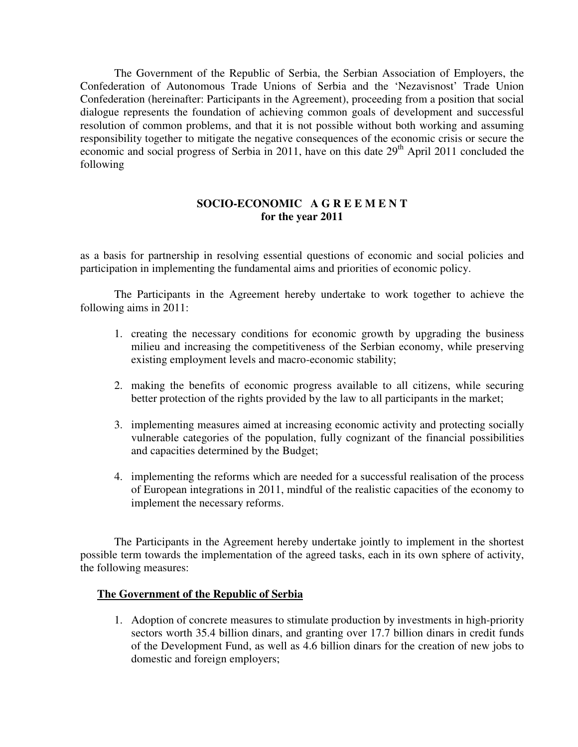The Government of the Republic of Serbia, the Serbian Association of Employers, the Confederation of Autonomous Trade Unions of Serbia and the 'Nezavisnost' Trade Union Confederation (hereinafter: Participants in the Agreement), proceeding from a position that social dialogue represents the foundation of achieving common goals of development and successful resolution of common problems, and that it is not possible without both working and assuming responsibility together to mitigate the negative consequences of the economic crisis or secure the economic and social progress of Serbia in 2011, have on this date 29<sup>th</sup> April 2011 concluded the following

# **SOCIO-ECONOMIC A G R E E M E N T for the year 2011**

as a basis for partnership in resolving essential questions of economic and social policies and participation in implementing the fundamental aims and priorities of economic policy.

 The Participants in the Agreement hereby undertake to work together to achieve the following aims in 2011:

- 1. creating the necessary conditions for economic growth by upgrading the business milieu and increasing the competitiveness of the Serbian economy, while preserving existing employment levels and macro-economic stability;
- 2. making the benefits of economic progress available to all citizens, while securing better protection of the rights provided by the law to all participants in the market;
- 3. implementing measures aimed at increasing economic activity and protecting socially vulnerable categories of the population, fully cognizant of the financial possibilities and capacities determined by the Budget;
- 4. implementing the reforms which are needed for a successful realisation of the process of European integrations in 2011, mindful of the realistic capacities of the economy to implement the necessary reforms.

The Participants in the Agreement hereby undertake jointly to implement in the shortest possible term towards the implementation of the agreed tasks, each in its own sphere of activity, the following measures:

### **The Government of the Republic of Serbia**

1. Adoption of concrete measures to stimulate production by investments in high-priority sectors worth 35.4 billion dinars, and granting over 17.7 billion dinars in credit funds of the Development Fund, as well as 4.6 billion dinars for the creation of new jobs to domestic and foreign employers;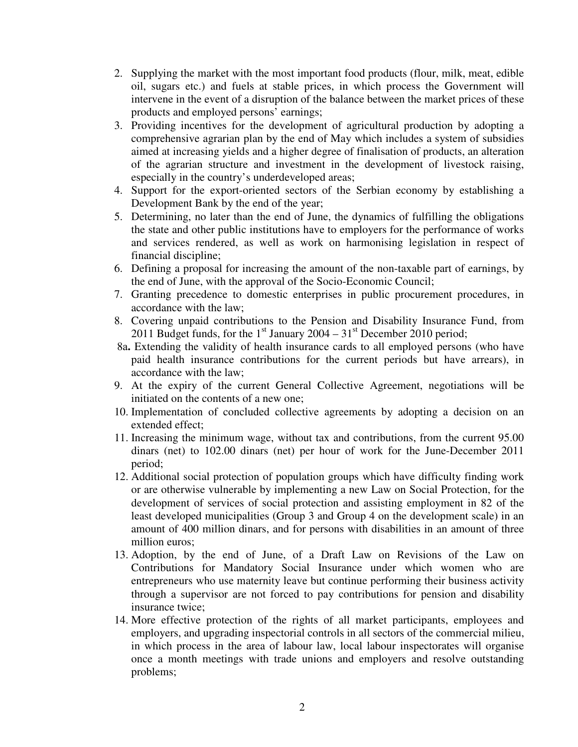- 2. Supplying the market with the most important food products (flour, milk, meat, edible oil, sugars etc.) and fuels at stable prices, in which process the Government will intervene in the event of a disruption of the balance between the market prices of these products and employed persons' earnings;
- 3. Providing incentives for the development of agricultural production by adopting a comprehensive agrarian plan by the end of May which includes a system of subsidies aimed at increasing yields and a higher degree of finalisation of products, an alteration of the agrarian structure and investment in the development of livestock raising, especially in the country's underdeveloped areas;
- 4. Support for the export-oriented sectors of the Serbian economy by establishing a Development Bank by the end of the year;
- 5. Determining, no later than the end of June, the dynamics of fulfilling the obligations the state and other public institutions have to employers for the performance of works and services rendered, as well as work on harmonising legislation in respect of financial discipline;
- 6. Defining a proposal for increasing the amount of the non-taxable part of earnings, by the end of June, with the approval of the Socio-Economic Council;
- 7. Granting precedence to domestic enterprises in public procurement procedures, in accordance with the law;
- 8. Covering unpaid contributions to the Pension and Disability Insurance Fund, from 2011 Budget funds, for the  $1<sup>st</sup>$  January 2004 –  $31<sup>st</sup>$  December 2010 period;
- 8а**.** Extending the validity of health insurance cards to all employed persons (who have paid health insurance contributions for the current periods but have arrears), in accordance with the law;
- 9. At the expiry of the current General Collective Agreement, negotiations will be initiated on the contents of a new one;
- 10. Implementation of concluded collective agreements by adopting a decision on an extended effect;
- 11. Increasing the minimum wage, without tax and contributions, from the current 95.00 dinars (net) to 102.00 dinars (net) per hour of work for the June-December 2011 period;
- 12. Additional social protection of population groups which have difficulty finding work or are otherwise vulnerable by implementing a new Law on Social Protection, for the development of services of social protection and assisting employment in 82 of the least developed municipalities (Group 3 and Group 4 on the development scale) in an amount of 400 million dinars, and for persons with disabilities in an amount of three million euros;
- 13. Adoption, by the end of June, of a Draft Law on Revisions of the Law on Contributions for Mandatory Social Insurance under which women who are entrepreneurs who use maternity leave but continue performing their business activity through a supervisor are not forced to pay contributions for pension and disability insurance twice;
- 14. More effective protection of the rights of all market participants, employees and employers, and upgrading inspectorial controls in all sectors of the commercial milieu, in which process in the area of labour law, local labour inspectorates will organise once a month meetings with trade unions and employers and resolve outstanding problems;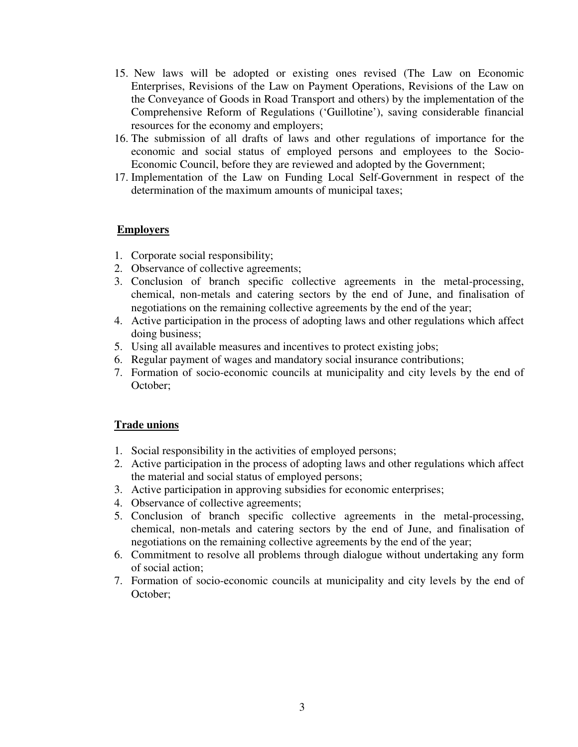- 15. New laws will be adopted or existing ones revised (The Law on Economic Enterprises, Revisions of the Law on Payment Operations, Revisions of the Law on the Conveyance of Goods in Road Transport and others) by the implementation of the Comprehensive Reform of Regulations ('Guillotine'), saving considerable financial resources for the economy and employers;
- 16. The submission of all drafts of laws and other regulations of importance for the economic and social status of employed persons and employees to the Socio-Economic Council, before they are reviewed and adopted by the Government;
- 17. Implementation of the Law on Funding Local Self-Government in respect of the determination of the maximum amounts of municipal taxes;

#### **Employers**

- 1. Corporate social responsibility;
- 2. Observance of collective agreements;
- 3. Conclusion of branch specific collective agreements in the metal-processing, chemical, non-metals and catering sectors by the end of June, and finalisation of negotiations on the remaining collective agreements by the end of the year;
- 4. Active participation in the process of adopting laws and other regulations which affect doing business;
- 5. Using all available measures and incentives to protect existing jobs;
- 6. Regular payment of wages and mandatory social insurance contributions;
- 7. Formation of socio-economic councils at municipality and city levels by the end of October;

#### **Trade unions**

- 1. Social responsibility in the activities of employed persons;
- 2. Active participation in the process of adopting laws and other regulations which affect the material and social status of employed persons;
- 3. Active participation in approving subsidies for economic enterprises;
- 4. Observance of collective agreements;
- 5. Conclusion of branch specific collective agreements in the metal-processing, chemical, non-metals and catering sectors by the end of June, and finalisation of negotiations on the remaining collective agreements by the end of the year;
- 6. Commitment to resolve all problems through dialogue without undertaking any form of social action;
- 7. Formation of socio-economic councils at municipality and city levels by the end of October;